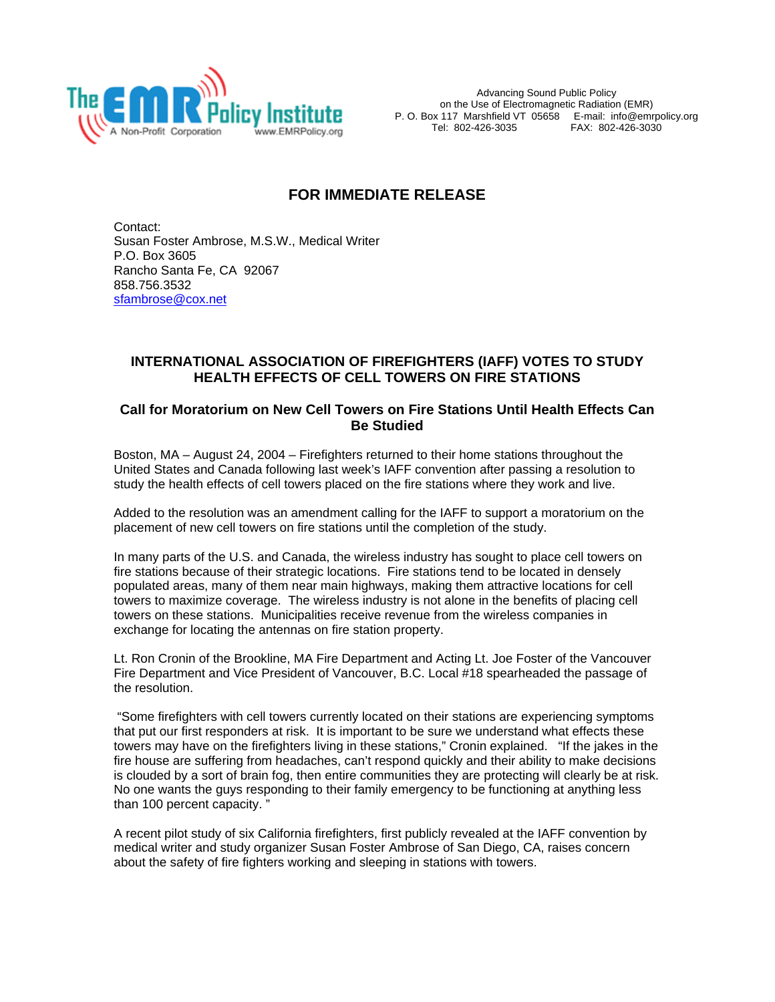

Advancing Sound Public Policy on the Use of Electromagnetic Radiation (EMR) P. O. Box 117 Marshfield VT 05658 E-mail: info@emrpolicy.org FAX: 802-426-3030

## **FOR IMMEDIATE RELEASE**

Contact: Susan Foster Ambrose, M.S.W., Medical Writer P.O. Box 3605 Rancho Santa Fe, CA 92067 858.756.3532 [sfambrose@cox.net](mailto:sfambrose@cox.net)

## **INTERNATIONAL ASSOCIATION OF FIREFIGHTERS (IAFF) VOTES TO STUDY HEALTH EFFECTS OF CELL TOWERS ON FIRE STATIONS**

## **Call for Moratorium on New Cell Towers on Fire Stations Until Health Effects Can Be Studied**

Boston, MA – August 24, 2004 – Firefighters returned to their home stations throughout the United States and Canada following last week's IAFF convention after passing a resolution to study the health effects of cell towers placed on the fire stations where they work and live.

Added to the resolution was an amendment calling for the IAFF to support a moratorium on the placement of new cell towers on fire stations until the completion of the study.

In many parts of the U.S. and Canada, the wireless industry has sought to place cell towers on fire stations because of their strategic locations. Fire stations tend to be located in densely populated areas, many of them near main highways, making them attractive locations for cell towers to maximize coverage. The wireless industry is not alone in the benefits of placing cell towers on these stations. Municipalities receive revenue from the wireless companies in exchange for locating the antennas on fire station property.

Lt. Ron Cronin of the Brookline, MA Fire Department and Acting Lt. Joe Foster of the Vancouver Fire Department and Vice President of Vancouver, B.C. Local #18 spearheaded the passage of the resolution.

 "Some firefighters with cell towers currently located on their stations are experiencing symptoms that put our first responders at risk. It is important to be sure we understand what effects these towers may have on the firefighters living in these stations," Cronin explained. "If the jakes in the fire house are suffering from headaches, can't respond quickly and their ability to make decisions is clouded by a sort of brain fog, then entire communities they are protecting will clearly be at risk. No one wants the guys responding to their family emergency to be functioning at anything less than 100 percent capacity. "

A recent pilot study of six California firefighters, first publicly revealed at the IAFF convention by medical writer and study organizer Susan Foster Ambrose of San Diego, CA, raises concern about the safety of fire fighters working and sleeping in stations with towers.